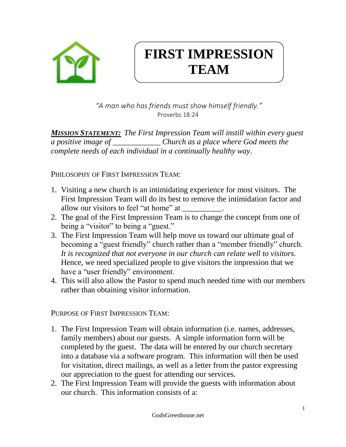

## **FIRST IMPRESSION TEAM**

*"A man who has friends must show himself friendly."* Proverbs 18:24

*MISSION STATEMENT: The First Impression Team will instill within every guest a positive image of \_\_\_\_\_\_\_\_\_\_\_\_ Church as a place where God meets the complete needs of each individual in a continually healthy way*.

PHILOSOPHY OF FIRST IMPRESSION TEAM:

- 1. Visiting a new church is an intimidating experience for most visitors. The First Impression Team will do its best to remove the intimidation factor and allow our visitors to feel "at home" at
- 2. The goal of the First Impression Team is to change the concept from one of being a "visitor" to being a "guest."
- 3. The First Impression Team will help move us toward our ultimate goal of becoming a "guest friendly" church rather than a "member friendly" church. *It is recognized that not everyone in our church can relate well to visitors.* Hence, we need specialized people to give visitors the impression that we have a "user friendly" environment.
- 4. This will also allow the Pastor to spend much needed time with our members rather than obtaining visitor information.

PURPOSE OF FIRST IMPRESSION TEAM:

- 1. The First Impression Team will obtain information (i.e. names, addresses, family members) about our guests. A simple information form will be completed by the guest. The data will be entered by our church secretary into a database via a software program. This information will then be used for visitation, direct mailings, as well as a letter from the pastor expressing our appreciation to the guest for attending our services.
- 2. The First Impression Team will provide the guests with information about our church. This information consists of a: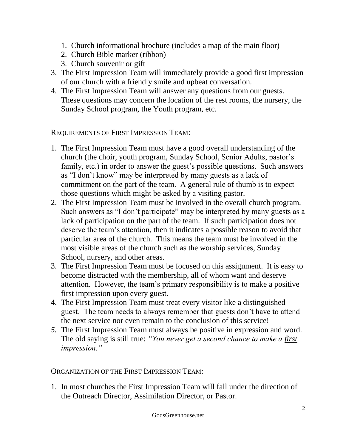- 1. Church informational brochure (includes a map of the main floor)
- 2. Church Bible marker (ribbon)
- 3. Church souvenir or gift
- 3. The First Impression Team will immediately provide a good first impression of our church with a friendly smile and upbeat conversation.
- 4. The First Impression Team will answer any questions from our guests. These questions may concern the location of the rest rooms, the nursery, the Sunday School program, the Youth program, etc.

REQUIREMENTS OF FIRST IMPRESSION TEAM:

- 1. The First Impression Team must have a good overall understanding of the church (the choir, youth program, Sunday School, Senior Adults, pastor's family, etc.) in order to answer the guest's possible questions. Such answers as "I don't know" may be interpreted by many guests as a lack of commitment on the part of the team. A general rule of thumb is to expect those questions which might be asked by a visiting pastor.
- 2. The First Impression Team must be involved in the overall church program. Such answers as "I don't participate" may be interpreted by many guests as a lack of participation on the part of the team. If such participation does not deserve the team's attention, then it indicates a possible reason to avoid that particular area of the church. This means the team must be involved in the most visible areas of the church such as the worship services, Sunday School, nursery, and other areas.
- 3. The First Impression Team must be focused on this assignment. It is easy to become distracted with the membership, all of whom want and deserve attention. However, the team's primary responsibility is to make a positive first impression upon every guest.
- 4. The First Impression Team must treat every visitor like a distinguished guest. The team needs to always remember that guests don't have to attend the next service nor even remain to the conclusion of this service!
- *5.* The First Impression Team must always be positive in expression and word. The old saying is still true: *"You never get a second chance to make a first impression."*

ORGANIZATION OF THE FIRST IMPRESSION TEAM:

1. In most churches the First Impression Team will fall under the direction of the Outreach Director, Assimilation Director, or Pastor.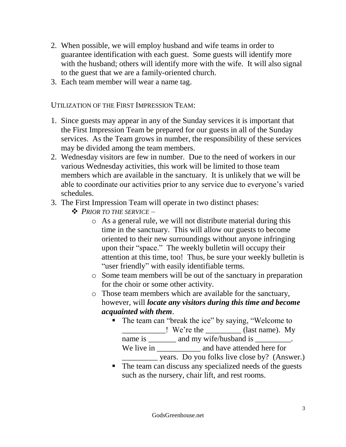- 2. When possible, we will employ husband and wife teams in order to guarantee identification with each guest. Some guests will identify more with the husband; others will identify more with the wife. It will also signal to the guest that we are a family-oriented church.
- 3. Each team member will wear a name tag.

UTILIZATION OF THE FIRST IMPRESSION TEAM:

- 1. Since guests may appear in any of the Sunday services it is important that the First Impression Team be prepared for our guests in all of the Sunday services. As the Team grows in number, the responsibility of these services may be divided among the team members.
- 2. Wednesday visitors are few in number. Due to the need of workers in our various Wednesday activities, this work will be limited to those team members which are available in the sanctuary. It is unlikely that we will be able to coordinate our activities prior to any service due to everyone's varied schedules.
- 3. The First Impression Team will operate in two distinct phases:
	- ❖ *PRIOR TO THE SERVICE*
		- o As a general rule, we will not distribute material during this time in the sanctuary. This will allow our guests to become oriented to their new surroundings without anyone infringing upon their "space." The weekly bulletin will occupy their attention at this time, too! Thus, be sure your weekly bulletin is "user friendly" with easily identifiable terms.
		- o Some team members will be out of the sanctuary in preparation for the choir or some other activity.
		- o Those team members which are available for the sanctuary, however, will *locate any visitors during this time and become acquainted with them*.
			- The team can "break the ice" by saying, "Welcome to \_\_\_\_\_\_\_\_\_\_\_\_\_\_\_! We're the \_\_\_\_\_\_\_\_\_\_\_\_ (last name). My name is \_\_\_\_\_\_\_ and my wife/husband is \_\_\_\_\_\_\_\_\_.
				- We live in \_\_\_\_\_\_\_\_\_\_\_\_\_\_\_\_\_ and have attended here for

\_\_\_\_\_\_\_\_\_ years. Do you folks live close by? (Answer.)

■ The team can discuss any specialized needs of the guests such as the nursery, chair lift, and rest rooms.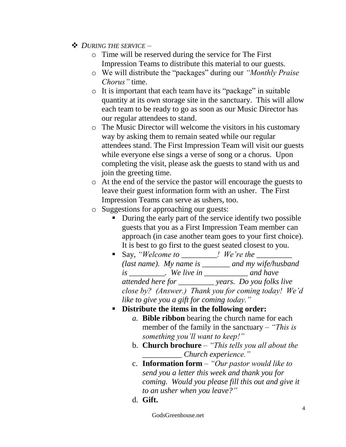- ❖ *DURING THE SERVICE*
	- o Time will be reserved during the service for The First Impression Teams to distribute this material to our guests.
	- o We will distribute the "packages" during our *"Monthly Praise Chorus"* time.
	- o It is important that each team have its "package" in suitable quantity at its own storage site in the sanctuary. This will allow each team to be ready to go as soon as our Music Director has our regular attendees to stand.
	- o The Music Director will welcome the visitors in his customary way by asking them to remain seated while our regular attendees stand. The First Impression Team will visit our guests while everyone else sings a verse of song or a chorus. Upon completing the visit, please ask the guests to stand with us and join the greeting time.
	- o At the end of the service the pastor will encourage the guests to leave their guest information form with an usher. The First Impression Teams can serve as ushers, too.
	- o Suggestions for approaching our guests:
		- During the early part of the service identify two possible guests that you as a First Impression Team member can approach (in case another team goes to your first choice). It is best to go first to the guest seated closest to you.
		- Say, *"Welcome to We're the (last name). My name is \_\_\_\_\_\_\_ and my wife/husband is \_\_\_\_\_\_\_\_\_. We live in \_\_\_\_\_\_\_\_\_\_\_ and have attended here for \_\_\_\_\_\_\_\_\_ years. Do you folks live close by? (Answer.) Thank you for coming today! We'd like to give you a gift for coming today."*
		- **Distribute the items in the following order:**
			- *a.* **Bible ribbon** bearing the church name for each member of the family in the sanctuary – *"This is something you'll want to keep!"*
			- b. **Church brochure** *"This tells you all about the \_\_\_\_\_\_\_\_\_\_ Church experience."*
			- c. **Information form** *"Our pastor would like to send you a letter this week and thank you for coming. Would you please fill this out and give it to an usher when you leave?"*
			- d. **Gift.**